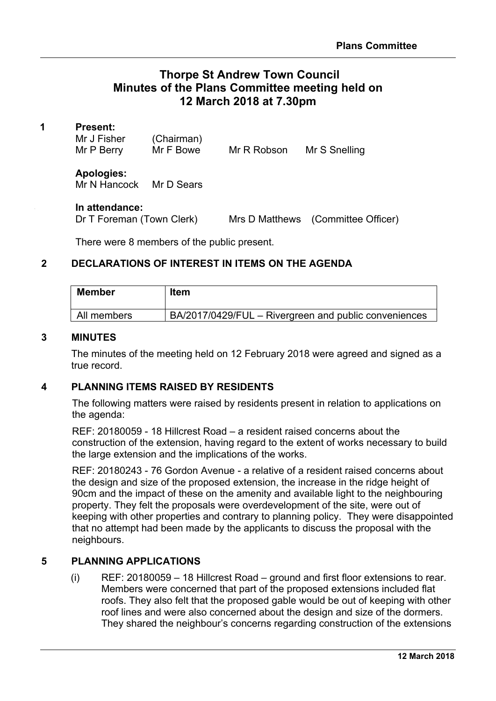# **Thorpe St Andrew Town Council Minutes of the Plans Committee meeting held on 12 March 2018 at 7.30pm**

Robson Mr S Snelling

### **1 Present:**

| Mr J Fisher | (Chairman) |     |
|-------------|------------|-----|
| Mr P Berry  | Mr F Bowe  | MrR |

**Apologies:** Mr N Hancock Mr D Sears

#### **3 In attendance:**

Dr T Foreman (Town Clerk) Mrs D Matthews (Committee Officer)

There were 8 members of the public present.

## **2 DECLARATIONS OF INTEREST IN ITEMS ON THE AGENDA**

| Member      | <b>Item</b>                                           |
|-------------|-------------------------------------------------------|
| All members | BA/2017/0429/FUL – Rivergreen and public conveniences |

## **3 MINUTES**

The minutes of the meeting held on 12 February 2018 were agreed and signed as a true record.

## **4 PLANNING ITEMS RAISED BY RESIDENTS**

The following matters were raised by residents present in relation to applications on the agenda:

REF: 20180059 - 18 Hillcrest Road – a resident raised concerns about the construction of the extension, having regard to the extent of works necessary to build the large extension and the implications of the works.

REF: 20180243 - 76 Gordon Avenue - a relative of a resident raised concerns about the design and size of the proposed extension, the increase in the ridge height of 90cm and the impact of these on the amenity and available light to the neighbouring property. They felt the proposals were overdevelopment of the site, were out of keeping with other properties and contrary to planning policy. They were disappointed that no attempt had been made by the applicants to discuss the proposal with the neighbours.

# **5 PLANNING APPLICATIONS**

(i) REF: 20180059 – 18 Hillcrest Road – ground and first floor extensions to rear. Members were concerned that part of the proposed extensions included flat roofs. They also felt that the proposed gable would be out of keeping with other roof lines and were also concerned about the design and size of the dormers. They shared the neighbour's concerns regarding construction of the extensions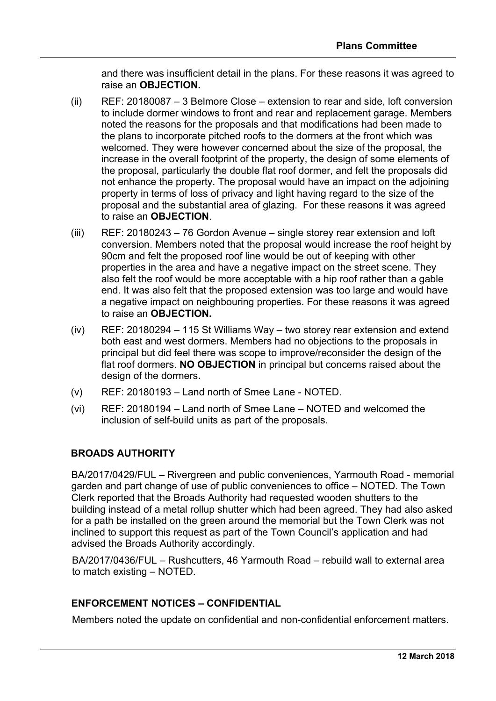and there was insufficient detail in the plans. For these reasons it was agreed to raise an **OBJECTION.**

- (ii) REF: 20180087 3 Belmore Close extension to rear and side, loft conversion to include dormer windows to front and rear and replacement garage. Members noted the reasons for the proposals and that modifications had been made to the plans to incorporate pitched roofs to the dormers at the front which was welcomed. They were however concerned about the size of the proposal, the increase in the overall footprint of the property, the design of some elements of the proposal, particularly the double flat roof dormer, and felt the proposals did not enhance the property. The proposal would have an impact on the adjoining property in terms of loss of privacy and light having regard to the size of the proposal and the substantial area of glazing. For these reasons it was agreed to raise an **OBJECTION**.
- (iii) REF: 20180243 76 Gordon Avenue single storey rear extension and loft conversion. Members noted that the proposal would increase the roof height by 90cm and felt the proposed roof line would be out of keeping with other properties in the area and have a negative impact on the street scene. They also felt the roof would be more acceptable with a hip roof rather than a gable end. It was also felt that the proposed extension was too large and would have a negative impact on neighbouring properties. For these reasons it was agreed to raise an **OBJECTION.**
- (iv) REF: 20180294 115 St Williams Way two storey rear extension and extend both east and west dormers. Members had no objections to the proposals in principal but did feel there was scope to improve/reconsider the design of the flat roof dormers. **NO OBJECTION** in principal but concerns raised about the design of the dormers**.**
- (v) REF: 20180193 Land north of Smee Lane NOTED.
- (vi) REF: 20180194 Land north of Smee Lane NOTED and welcomed the inclusion of self-build units as part of the proposals.

# **BROADS AUTHORITY**

BA/2017/0429/FUL – Rivergreen and public conveniences, Yarmouth Road - memorial garden and part change of use of public conveniences to office – NOTED. The Town Clerk reported that the Broads Authority had requested wooden shutters to the building instead of a metal rollup shutter which had been agreed. They had also asked for a path be installed on the green around the memorial but the Town Clerk was not inclined to support this request as part of the Town Council's application and had advised the Broads Authority accordingly.

BA/2017/0436/FUL – Rushcutters, 46 Yarmouth Road – rebuild wall to external area to match existing – NOTED.

# **ENFORCEMENT NOTICES – CONFIDENTIAL**

Members noted the update on confidential and non-confidential enforcement matters.